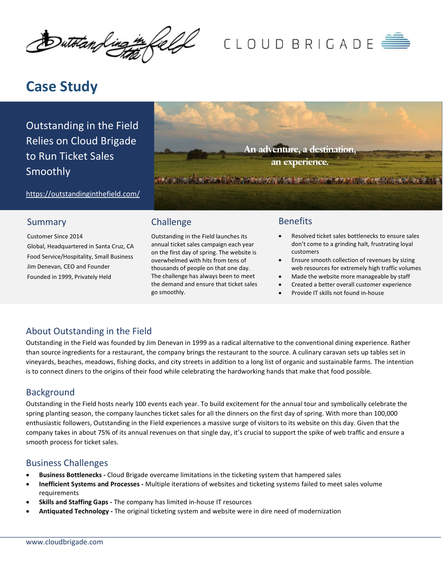Dutotan Ling ۱

# CLOUD BRIGADE

# Case Study

Outstanding in the Field Relies on Cloud Brigade to Run Ticket Sales Smoothly

An adventure, a destination, an experience. **OF A STATE OF A STATE OF A STATE OF A STATE OF A STATE OF A STATE OF A STATE OF A STATE OF A STATE OF A STATE** 

https://outstandinginthefield.com/

#### Summary

Customer Since 2014 Global, Headquartered in Santa Cruz, CA Food Service/Hospitality, Small Business Jim Denevan, CEO and Founder Founded in 1999, Privately Held

# Challenge

Outstanding in the Field launches its annual ticket sales campaign each year on the first day of spring. The website is overwhelmed with hits from tens of thousands of people on that one day. The challenge has always been to meet the demand and ensure that ticket sales go smoothly.

#### Benefits

- Resolved ticket sales bottlenecks to ensure sales don't come to a grinding halt, frustrating loyal customers
- Ensure smooth collection of revenues by sizing web resources for extremely high traffic volumes
- Made the website more manageable by staff
- Created a better overall customer experience
- Provide IT skills not found in-house

### About Outstanding in the Field

Outstanding in the Field was founded by Jim Denevan in 1999 as a radical alternative to the conventional dining experience. Rather than source ingredients for a restaurant, the company brings the restaurant to the source. A culinary caravan sets up tables set in vineyards, beaches, meadows, fishing docks, and city streets in addition to a long list of organic and sustainable farms. The intention is to connect diners to the origins of their food while celebrating the hardworking hands that make that food possible.

#### Background

Outstanding in the Field hosts nearly 100 events each year. To build excitement for the annual tour and symbolically celebrate the spring planting season, the company launches ticket sales for all the dinners on the first day of spring. With more than 100,000 enthusiastic followers, Outstanding in the Field experiences a massive surge of visitors to its website on this day. Given that the company takes in about 75% of its annual revenues on that single day, it's crucial to support the spike of web traffic and ensure a smooth process for ticket sales.

#### Business Challenges

- Business Bottlenecks Cloud Brigade overcame limitations in the ticketing system that hampered sales
- Inefficient Systems and Processes Multiple iterations of websites and ticketing systems failed to meet sales volume requirements
- Skills and Staffing Gaps The company has limited in-house IT resources
- Antiquated Technology The original ticketing system and website were in dire need of modernization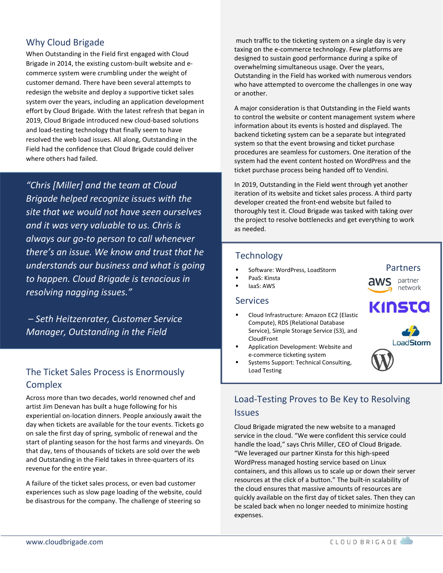### Why Cloud Brigade

When Outstanding in the Field first engaged with Cloud Brigade in 2014, the existing custom-built website and ecommerce system were crumbling under the weight of customer demand. There have been several attempts to redesign the website and deploy a supportive ticket sales system over the years, including an application development effort by Cloud Brigade. With the latest refresh that began in 2019, Cloud Brigade introduced new cloud-based solutions and load-testing technology that finally seem to have resolved the web load issues. All along, Outstanding in the Field had the confidence that Cloud Brigade could deliver where others had failed.

"Chris [Miller] and the team at Cloud Brigade helped recognize issues with the site that we would not have seen ourselves and it was very valuable to us. Chris is always our go-to person to call whenever there's an issue. We know and trust that he understands our business and what is going to happen. Cloud Brigade is tenacious in resolving nagging issues."

 – Seth Heitzenrater, Customer Service Manager, Outstanding in the Field

# The Ticket Sales Process is Enormously Complex

Across more than two decades, world renowned chef and artist Jim Denevan has built a huge following for his experiential on-location dinners. People anxiously await the day when tickets are available for the tour events. Tickets go on sale the first day of spring, symbolic of renewal and the start of planting season for the host farms and vineyards. On that day, tens of thousands of tickets are sold over the web and Outstanding in the Field takes in three-quarters of its revenue for the entire year.

A failure of the ticket sales process, or even bad customer experiences such as slow page loading of the website, could be disastrous for the company. The challenge of steering so

 much traffic to the ticketing system on a single day is very taxing on the e-commerce technology. Few platforms are designed to sustain good performance during a spike of overwhelming simultaneous usage. Over the years, Outstanding in the Field has worked with numerous vendors who have attempted to overcome the challenges in one way or another.

A major consideration is that Outstanding in the Field wants to control the website or content management system where information about its events is hosted and displayed. The backend ticketing system can be a separate but integrated system so that the event browsing and ticket purchase procedures are seamless for customers. One iteration of the system had the event content hosted on WordPress and the ticket purchase process being handed off to Vendini.

In 2019, Outstanding in the Field went through yet another iteration of its website and ticket sales process. A third party developer created the front-end website but failed to thoroughly test it. Cloud Brigade was tasked with taking over the project to resolve bottlenecks and get everything to work as needed.

#### **Technology**

- Software: WordPress, LoadStorm
- PaaS: Kinsta
- IaaS: AWS

#### **Services**

- Cloud Infrastructure: Amazon EC2 (Elastic Compute), RDS (Relational Database Service), Simple Storage Service (S3), and CloudFront
- Application Development: Website and e-commerce ticketing system
- Systems Support: Technical Consulting, Load Testing

#### Partners

partner network

# KINSTO



# Load-Testing Proves to Be Key to Resolving **Issues**

Cloud Brigade migrated the new website to a managed service in the cloud. "We were confident this service could handle the load," says Chris Miller, CEO of Cloud Brigade. "We leveraged our partner Kinsta for this high-speed WordPress managed hosting service based on Linux containers, and this allows us to scale up or down their server resources at the click of a button." The built-in scalability of the cloud ensures that massive amounts of resources are quickly available on the first day of ticket sales. Then they can be scaled back when no longer needed to minimize hosting expenses.